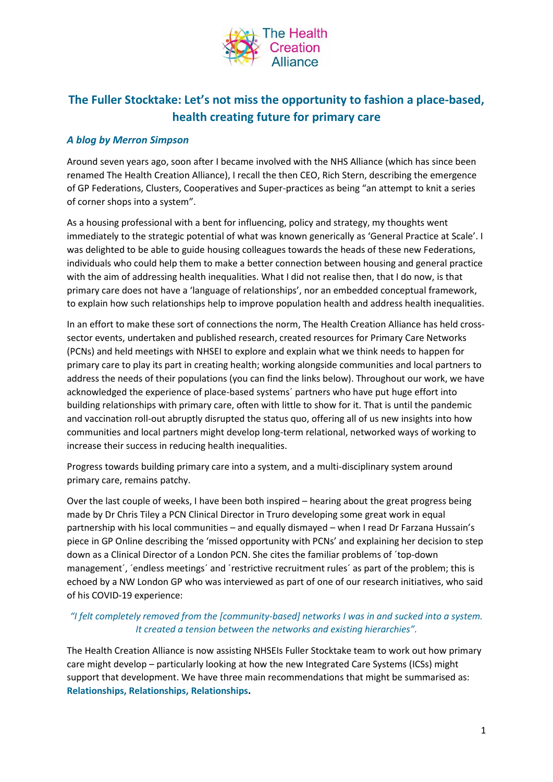

# **The Fuller Stocktake: Let's not miss the opportunity to fashion a place-based, health creating future for primary care**

# *A blog by Merron Simpson*

Around seven years ago, soon after I became involved with the NHS Alliance (which has since been renamed The Health Creation Alliance), I recall the then CEO, Rich Stern, describing the emergence of GP Federations, Clusters, Cooperatives and Super-practices as being "an attempt to knit a series of corner shops into a system".

As a housing professional with a bent for influencing, policy and strategy, my thoughts went immediately to the strategic potential of what was known generically as 'General Practice at Scale'. I was delighted to be able to guide housing colleagues towards the heads of these new Federations, individuals who could help them to make a better connection between housing and general practice with the aim of addressing health inequalities. What I did not realise then, that I do now, is that primary care does not have a 'language of relationships', nor an embedded conceptual framework, to explain how such relationships help to improve population health and address health inequalities.

In an effort to make these sort of connections the norm, The Health Creation Alliance has held crosssector events, undertaken and published research, created resources for Primary Care Networks (PCNs) and held meetings with NHSEI to explore and explain what we think needs to happen for primary care to play its part in creating health; working alongside communities and local partners to address the needs of their populations (you can find the links below). Throughout our work, we have acknowledged the experience of place-based systems´ partners who have put huge effort into building relationships with primary care, often with little to show for it. That is until the pandemic and vaccination roll-out abruptly disrupted the status quo, offering all of us new insights into how communities and local partners might develop long-term relational, networked ways of working to increase their success in reducing health inequalities.

Progress towards building primary care into a system, and a multi-disciplinary system around primary care, remains patchy.

Over the last couple of weeks, I have been both inspired – hearing about the great progress being made by Dr Chris Tiley a PCN Clinical Director in Truro developing some great work in equal partnership with his local communities – and equally dismayed – when I read Dr Farzana Hussain's piece in GP Online describing the 'missed opportunity with PCNs' and explaining her decision to step down as a Clinical Director of a London PCN. She cites the familiar problems of ´top-down management', 'endless meetings' and 'restrictive recruitment rules' as part of the problem; this is echoed by a NW London GP who was interviewed as part of one of our research initiatives, who said of his COVID-19 experience:

# *"I felt completely removed from the [community-based] networks I was in and sucked into a system. It created a tension between the networks and existing hierarchies".*

The Health Creation Alliance is now assisting NHSEIs Fuller Stocktake team to work out how primary care might develop – particularly looking at how the new Integrated Care Systems (ICSs) might support that development. We have three main recommendations that might be summarised as: **Relationships, Relationships, Relationships.**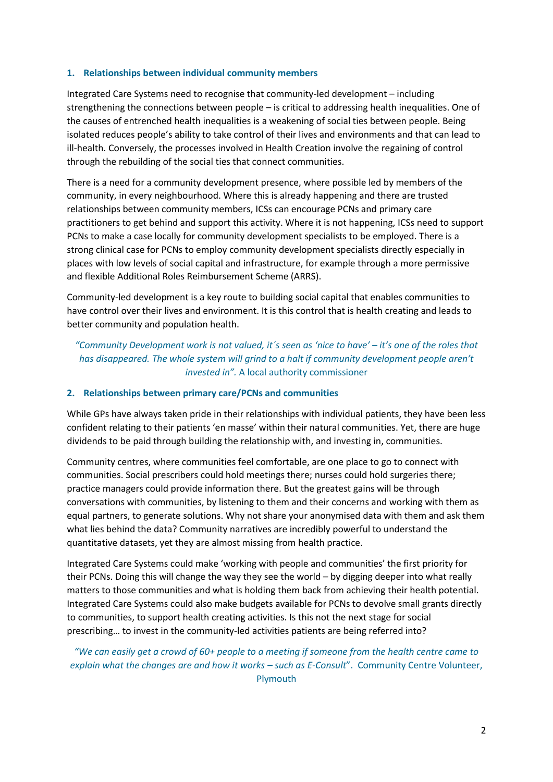## **1. Relationships between individual community members**

Integrated Care Systems need to recognise that community-led development – including strengthening the connections between people – is critical to addressing health inequalities. One of the causes of entrenched health inequalities is a weakening of social ties between people. Being isolated reduces people's ability to take control of their lives and environments and that can lead to ill-health. Conversely, the processes involved in Health Creation involve the regaining of control through the rebuilding of the social ties that connect communities.

There is a need for a community development presence, where possible led by members of the community, in every neighbourhood. Where this is already happening and there are trusted relationships between community members, ICSs can encourage PCNs and primary care practitioners to get behind and support this activity. Where it is not happening, ICSs need to support PCNs to make a case locally for community development specialists to be employed. There is a strong clinical case for PCNs to employ community development specialists directly especially in places with low levels of social capital and infrastructure, for example through a more permissive and flexible Additional Roles Reimbursement Scheme (ARRS).

Community-led development is a key route to building social capital that enables communities to have control over their lives and environment. It is this control that is health creating and leads to better community and population health.

*"Community Development work is not valued, it´s seen as 'nice to have' – it's one of the roles that*  has disappeared. The whole system will grind to a halt if community development people aren't *invested in".* A local authority commissioner

#### **2. Relationships between primary care/PCNs and communities**

While GPs have always taken pride in their relationships with individual patients, they have been less confident relating to their patients 'en masse' within their natural communities. Yet, there are huge dividends to be paid through building the relationship with, and investing in, communities.

Community centres, where communities feel comfortable, are one place to go to connect with communities. Social prescribers could hold meetings there; nurses could hold surgeries there; practice managers could provide information there. But the greatest gains will be through conversations with communities, by listening to them and their concerns and working with them as equal partners, to generate solutions. Why not share your anonymised data with them and ask them what lies behind the data? Community narratives are incredibly powerful to understand the quantitative datasets, yet they are almost missing from health practice.

Integrated Care Systems could make 'working with people and communities' the first priority for their PCNs. Doing this will change the way they see the world – by digging deeper into what really matters to those communities and what is holding them back from achieving their health potential. Integrated Care Systems could also make budgets available for PCNs to devolve small grants directly to communities, to support health creating activities. Is this not the next stage for social prescribing… to invest in the community-led activities patients are being referred into?

*"We can easily get a crowd of 60+ people to a meeting if someone from the health centre came to explain what the changes are and how it works – such as E-Consult*". Community Centre Volunteer, Plymouth